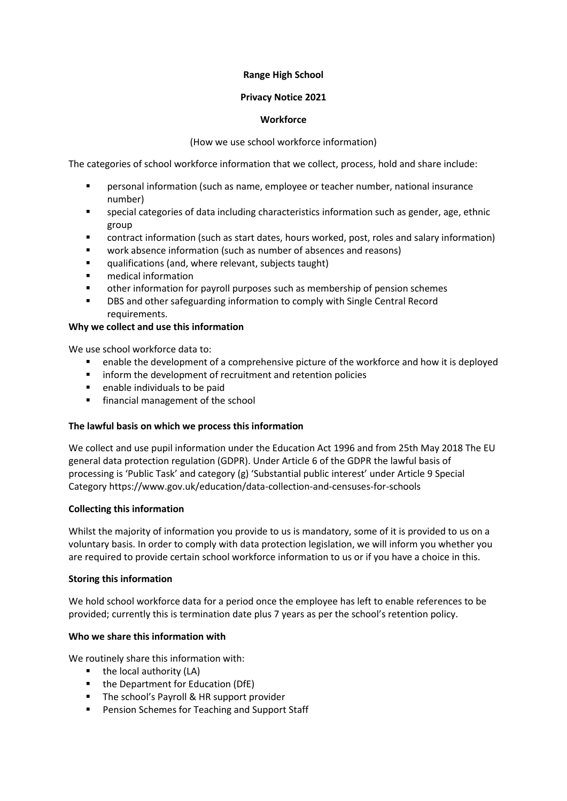## **Range High School**

## **Privacy Notice 2021**

## **Workforce**

## (How we use school workforce information)

The categories of school workforce information that we collect, process, hold and share include:

- personal information (such as name, employee or teacher number, national insurance number)
- special categories of data including characteristics information such as gender, age, ethnic group
- contract information (such as start dates, hours worked, post, roles and salary information)
- work absence information (such as number of absences and reasons)
- qualifications (and, where relevant, subjects taught)
- medical information
- other information for payroll purposes such as membership of pension schemes
- DBS and other safeguarding information to comply with Single Central Record requirements.

# **Why we collect and use this information**

We use school workforce data to:

- enable the development of a comprehensive picture of the workforce and how it is deployed
- **EXECT** inform the development of recruitment and retention policies
- **E** enable individuals to be paid
- **F** financial management of the school

### **The lawful basis on which we process this information**

We collect and use pupil information under the Education Act 1996 and from 25th May 2018 The EU general data protection regulation (GDPR). Under Article 6 of the GDPR the lawful basis of processing is 'Public Task' and category (g) 'Substantial public interest' under Article 9 Special Category https://www.gov.uk/education/data-collection-and-censuses-for-schools

### **Collecting this information**

Whilst the majority of information you provide to us is mandatory, some of it is provided to us on a voluntary basis. In order to comply with data protection legislation, we will inform you whether you are required to provide certain school workforce information to us or if you have a choice in this.

### **Storing this information**

We hold school workforce data for a period once the employee has left to enable references to be provided; currently this is termination date plus 7 years as per the school's retention policy.

### **Who we share this information with**

We routinely share this information with:

- $\blacksquare$  the local authority (LA)
- the Department for Education (DfE)
- **The school's Payroll & HR support provider**
- **Pension Schemes for Teaching and Support Staff**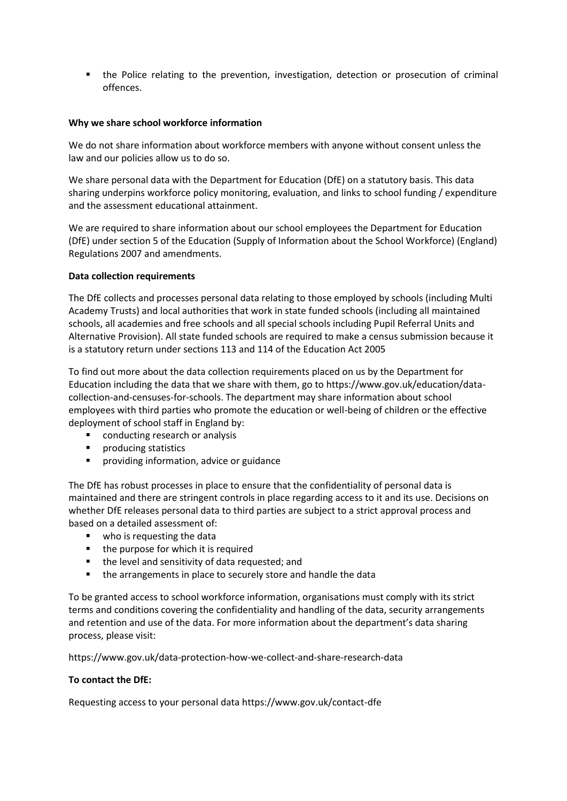the Police relating to the prevention, investigation, detection or prosecution of criminal offences.

### **Why we share school workforce information**

We do not share information about workforce members with anyone without consent unless the law and our policies allow us to do so.

We share personal data with the Department for Education (DfE) on a statutory basis. This data sharing underpins workforce policy monitoring, evaluation, and links to school funding / expenditure and the assessment educational attainment.

We are required to share information about our school employees the Department for Education (DfE) under section 5 of the Education (Supply of Information about the School Workforce) (England) Regulations 2007 and amendments.

#### **Data collection requirements**

The DfE collects and processes personal data relating to those employed by schools (including Multi Academy Trusts) and local authorities that work in state funded schools (including all maintained schools, all academies and free schools and all special schools including Pupil Referral Units and Alternative Provision). All state funded schools are required to make a census submission because it is a statutory return under sections 113 and 114 of the Education Act 2005

To find out more about the data collection requirements placed on us by the Department for Education including the data that we share with them, go to https://www.gov.uk/education/datacollection-and-censuses-for-schools. The department may share information about school employees with third parties who promote the education or well-being of children or the effective deployment of school staff in England by:

- conducting research or analysis
- **Producing statistics**
- **P** providing information, advice or guidance

The DfE has robust processes in place to ensure that the confidentiality of personal data is maintained and there are stringent controls in place regarding access to it and its use. Decisions on whether DfE releases personal data to third parties are subject to a strict approval process and based on a detailed assessment of:

- **who is requesting the data**
- the purpose for which it is required
- the level and sensitivity of data requested; and
- **the arrangements in place to securely store and handle the data**

To be granted access to school workforce information, organisations must comply with its strict terms and conditions covering the confidentiality and handling of the data, security arrangements and retention and use of the data. For more information about the department's data sharing process, please visit:

https://www.gov.uk/data-protection-how-we-collect-and-share-research-data

### **To contact the DfE:**

Requesting access to your personal data https://www.gov.uk/contact-dfe